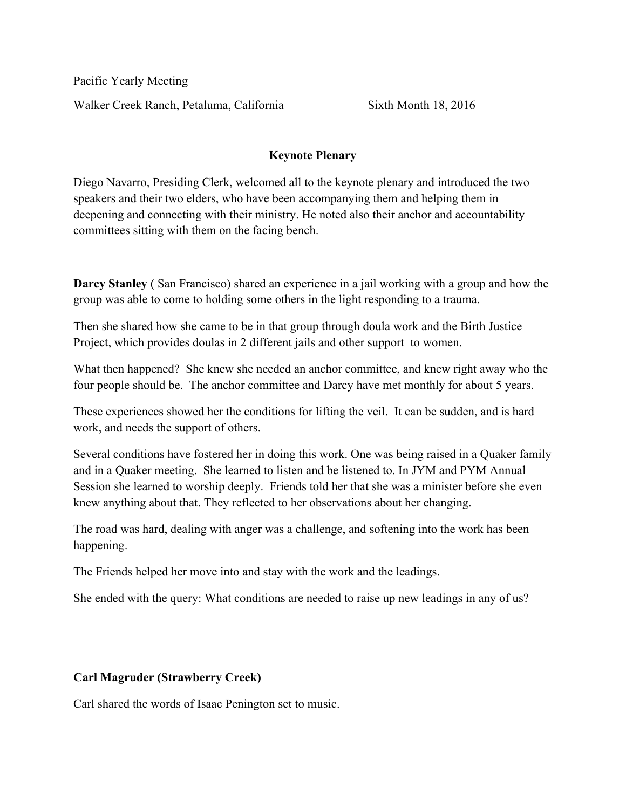Pacific Yearly Meeting Walker Creek Ranch, Petaluma, California Sixth Month 18, 2016

## Keynote Plenary

Diego Navarro, Presiding Clerk, welcomed all to the keynote plenary and introduced the two speakers and their two elders, who have been accompanying them and helping them in deepening and connecting with their ministry. He noted also their anchor and accountability committees sitting with them on the facing bench.

Darcy Stanley ( San Francisco) shared an experience in a jail working with a group and how the group was able to come to holding some others in the light responding to a trauma.

Then she shared how she came to be in that group through doula work and the Birth Justice Project, which provides doulas in 2 different jails and other support to women.

What then happened? She knew she needed an anchor committee, and knew right away who the four people should be. The anchor committee and Darcy have met monthly for about 5 years.

These experiences showed her the conditions for lifting the veil. It can be sudden, and is hard work, and needs the support of others.

Several conditions have fostered her in doing this work. One was being raised in a Quaker family and in a Quaker meeting. She learned to listen and be listened to. In JYM and PYM Annual Session she learned to worship deeply. Friends told her that she was a minister before she even knew anything about that. They reflected to her observations about her changing.

The road was hard, dealing with anger was a challenge, and softening into the work has been happening.

The Friends helped her move into and stay with the work and the leadings.

She ended with the query: What conditions are needed to raise up new leadings in any of us?

## Carl Magruder (Strawberry Creek)

Carl shared the words of Isaac Penington set to music.